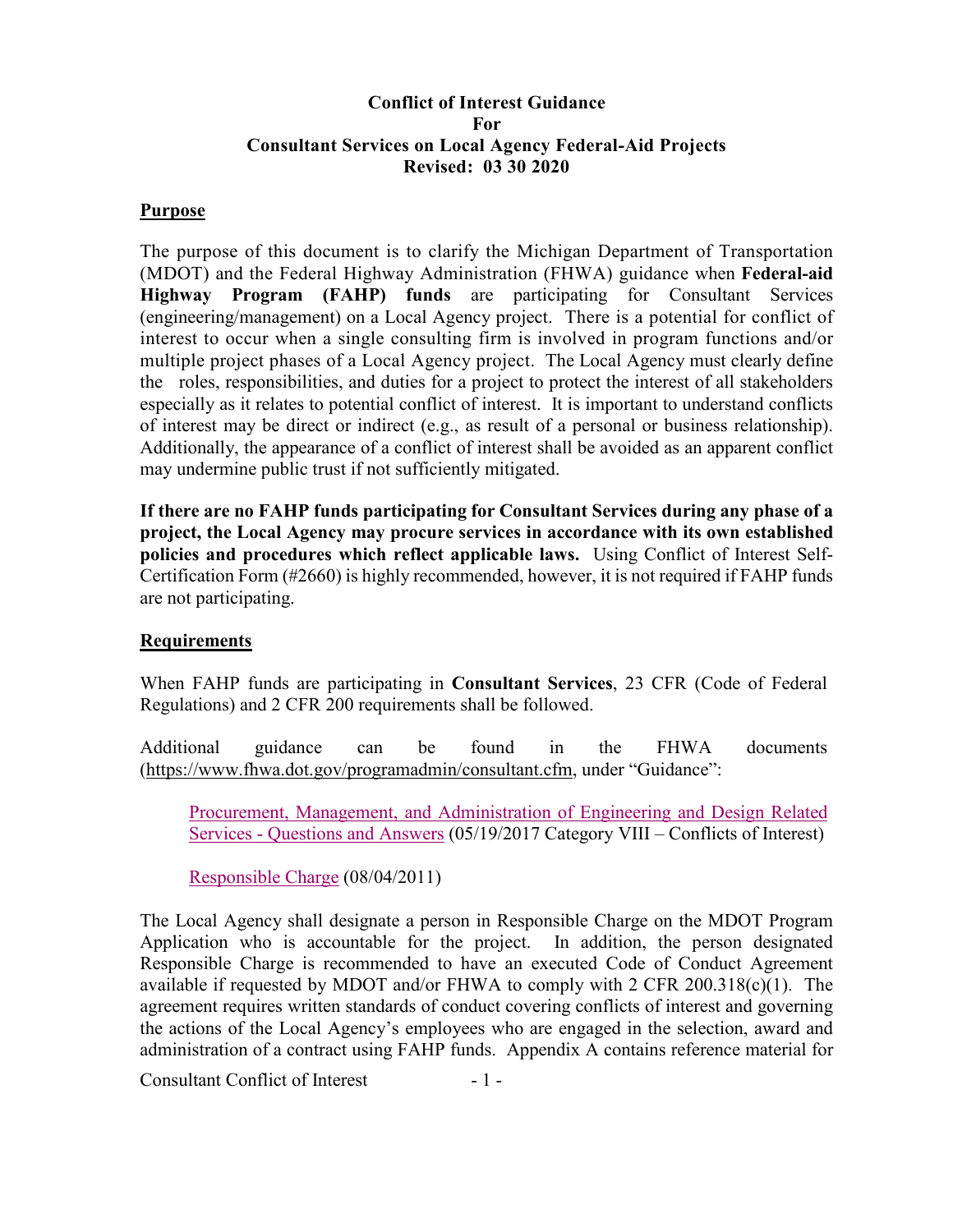## **Conflict of Interest Guidance For Consultant Services on Local Agency Federal-Aid Projects Revised: 03 30 2020**

#### **Purpose**

The purpose of this document is to clarify the Michigan Department of Transportation (MDOT) and the Federal Highway Administration (FHWA) guidance when **Federal-aid Highway Program (FAHP) funds** are participating for Consultant Services (engineering/management) on a Local Agency project. There is a potential for conflict of interest to occur when a single consulting firm is involved in program functions and/or multiple project phases of a Local Agency project. The Local Agency must clearly define the roles, responsibilities, and duties for a project to protect the interest of all stakeholders especially as it relates to potential conflict of interest. It is important to understand conflicts of interest may be direct or indirect (e.g., as result of a personal or business relationship). Additionally, the appearance of a conflict of interest shall be avoided as an apparent conflict may undermine public trust if not sufficiently mitigated.

**If there are no FAHP funds participating for Consultant Services during any phase of a project, the Local Agency may procure services in accordance with its own established policies and procedures which reflect applicable laws.** Using Conflict of Interest Self-Certification Form (#2660) is highly recommended, however, it is not required if FAHP funds are not participating.

## **Requirements**

When FAHP funds are participating in **Consultant Services**, 23 CFR (Code of Federal Regulations) and 2 CFR 200 requirements shall be followed.

Additional guidance can be found in the FHWA documents [\(https://www.fhwa.dot.gov/programadmin/consultant.cfm,](https://www.fhwa.dot.gov/programadmin/consultant.cfm) under "Guidance":

[Procurement, Management, and Administration of Engineering and Design Related](https://www.fhwa.dot.gov/programadmin/172qa.pdf)  Services - [Questions and Answers](https://www.fhwa.dot.gov/programadmin/172qa.pdf) (05/19/2017 Category VIII – Conflicts of Interest)

[Responsible Charge](https://www.fhwa.dot.gov/federalaid/110804.cfm) (08/04/2011)

The Local Agency shall designate a person in Responsible Charge on the MDOT Program Application who is accountable for the project. In addition, the person designated Responsible Charge is recommended to have an executed Code of Conduct Agreement available if requested by MDOT and/or FHWA to comply with 2 CFR 200.318(c)(1). The agreement requires written standards of conduct covering conflicts of interest and governing the actions of the Local Agency's employees who are engaged in the selection, award and administration of a contract using FAHP funds. Appendix A contains reference material for

Consultant Conflict of Interest - 1 -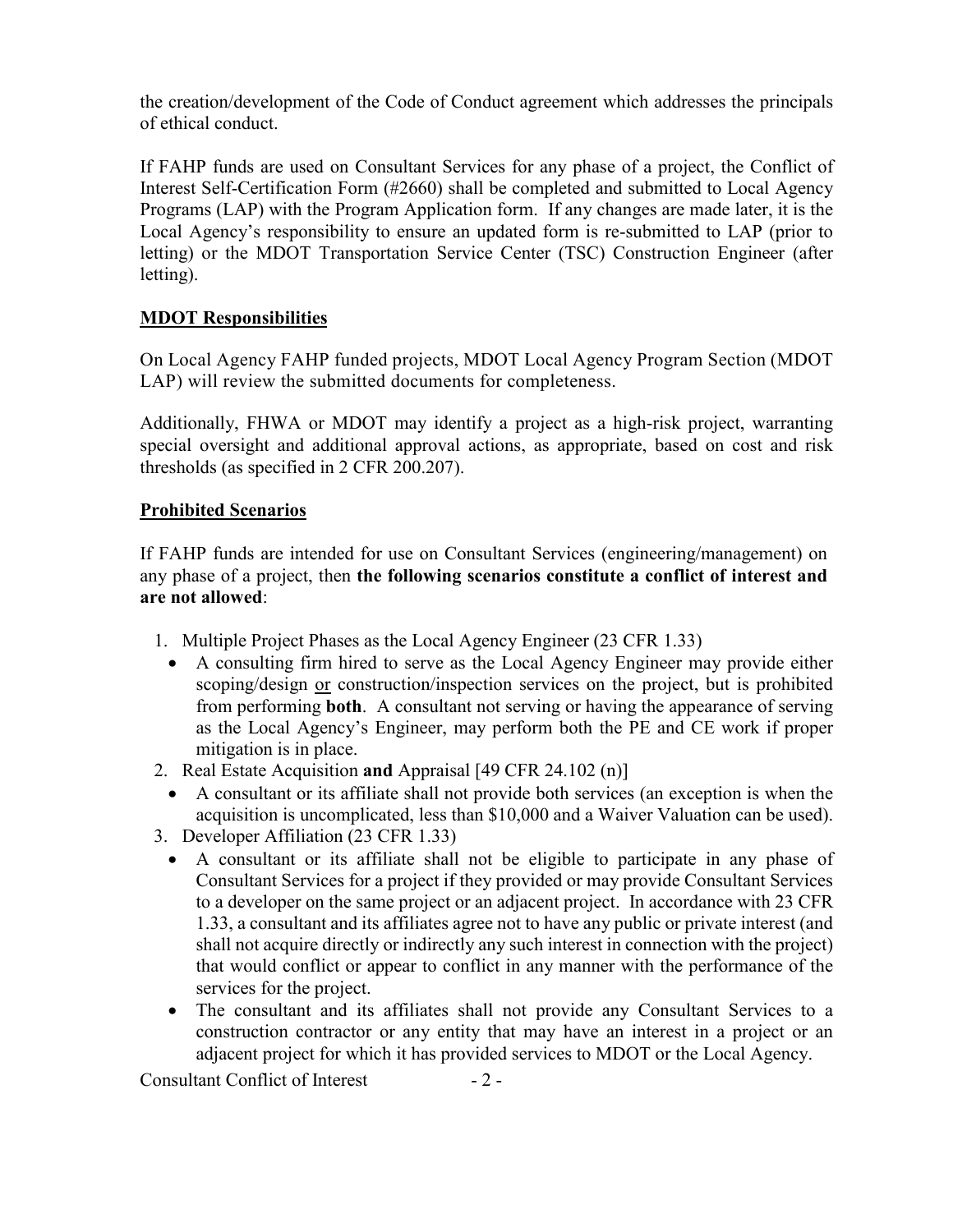the creation/development of the Code of Conduct agreement which addresses the principals of ethical conduct.

If FAHP funds are used on Consultant Services for any phase of a project, the Conflict of Interest Self-Certification Form (#2660) shall be completed and submitted to Local Agency Programs (LAP) with the Program Application form. If any changes are made later, it is the Local Agency's responsibility to ensure an updated form is re-submitted to LAP (prior to letting) or the MDOT Transportation Service Center (TSC) Construction Engineer (after letting).

# **MDOT Responsibilities**

On Local Agency FAHP funded projects, MDOT Local Agency Program Section (MDOT LAP) will review the submitted documents for completeness.

Additionally, FHWA or MDOT may identify a project as a high-risk project, warranting special oversight and additional approval actions, as appropriate, based on cost and risk thresholds (as specified in 2 CFR 200.207).

#### **Prohibited Scenarios**

If FAHP funds are intended for use on Consultant Services (engineering/management) on any phase of a project, then **the following scenarios constitute a conflict of interest and are not allowed**:

- 1. Multiple Project Phases as the Local Agency Engineer (23 CFR 1.33)
	- A consulting firm hired to serve as the Local Agency Engineer may provide either scoping/design or construction/inspection services on the project, but is prohibited from performing **both**. A consultant not serving or having the appearance of serving as the Local Agency's Engineer, may perform both the PE and CE work if proper mitigation is in place.
- 2. Real Estate Acquisition **and** Appraisal [49 CFR 24.102 (n)]
	- A consultant or its affiliate shall not provide both services (an exception is when the acquisition is uncomplicated, less than \$10,000 and a Waiver Valuation can be used).
- 3. Developer Affiliation (23 CFR 1.33)
	- A consultant or its affiliate shall not be eligible to participate in any phase of Consultant Services for a project if they provided or may provide Consultant Services to a developer on the same project or an adjacent project. In accordance with 23 CFR 1.33, a consultant and its affiliates agree not to have any public or private interest (and shall not acquire directly or indirectly any such interest in connection with the project) that would conflict or appear to conflict in any manner with the performance of the services for the project.
	- The consultant and its affiliates shall not provide any Consultant Services to a construction contractor or any entity that may have an interest in a project or an adjacent project for which it has provided services to MDOT or the Local Agency.

Consultant Conflict of Interest - 2 -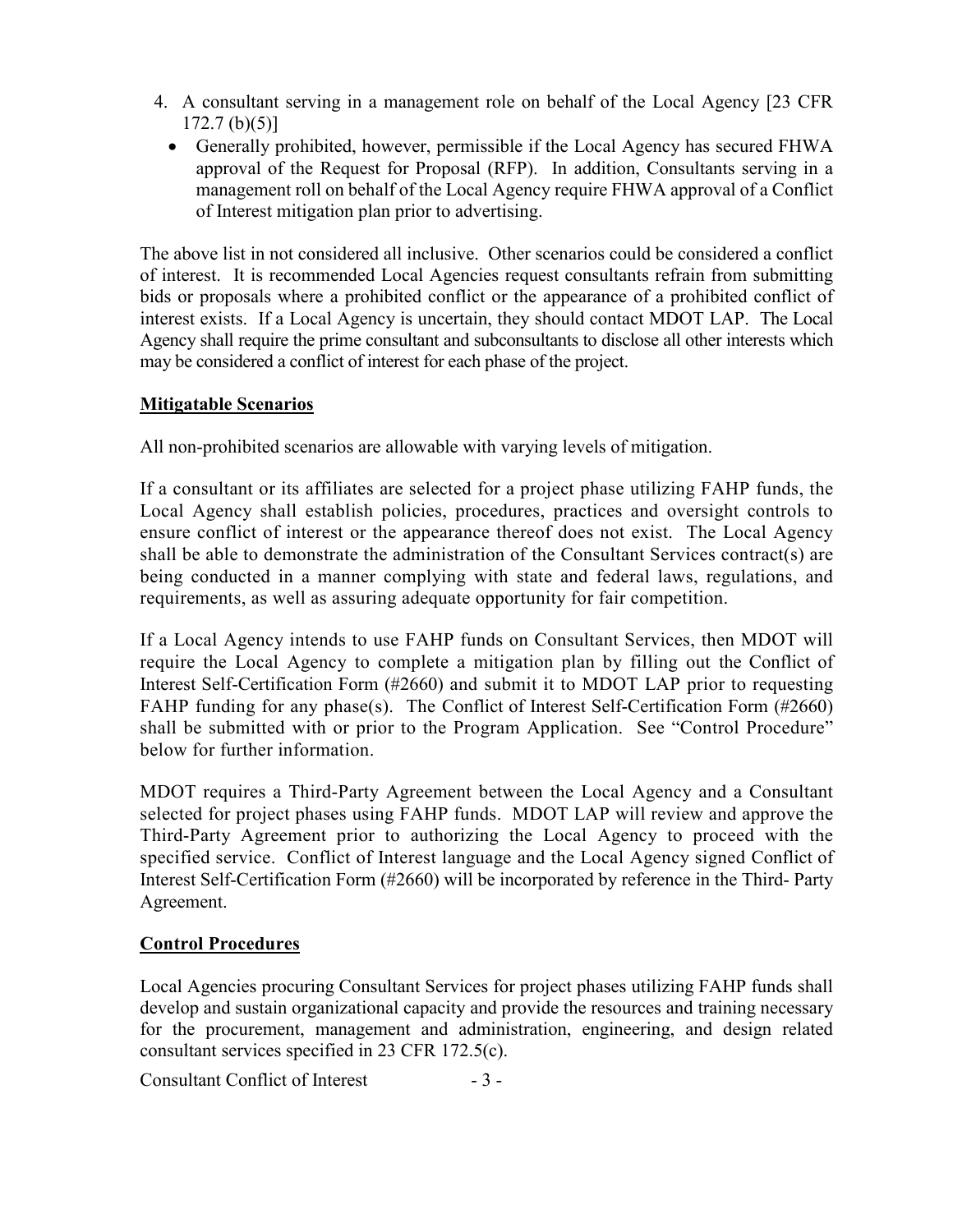- 4. A consultant serving in a management role on behalf of the Local Agency [23 CFR  $172.7$  (b)(5)]
	- Generally prohibited, however, permissible if the Local Agency has secured FHWA approval of the Request for Proposal (RFP). In addition, Consultants serving in a management roll on behalf of the Local Agency require FHWA approval of a Conflict of Interest mitigation plan prior to advertising.

The above list in not considered all inclusive. Other scenarios could be considered a conflict of interest. It is recommended Local Agencies request consultants refrain from submitting bids or proposals where a prohibited conflict or the appearance of a prohibited conflict of interest exists. If a Local Agency is uncertain, they should contact MDOT LAP. The Local Agency shall require the prime consultant and subconsultants to disclose all other interests which may be considered a conflict of interest for each phase of the project.

## **Mitigatable Scenarios**

All non-prohibited scenarios are allowable with varying levels of mitigation.

If a consultant or its affiliates are selected for a project phase utilizing FAHP funds, the Local Agency shall establish policies, procedures, practices and oversight controls to ensure conflict of interest or the appearance thereof does not exist. The Local Agency shall be able to demonstrate the administration of the Consultant Services contract(s) are being conducted in a manner complying with state and federal laws, regulations, and requirements, as well as assuring adequate opportunity for fair competition.

If a Local Agency intends to use FAHP funds on Consultant Services, then MDOT will require the Local Agency to complete a mitigation plan by filling out the Conflict of Interest Self-Certification Form (#2660) and submit it to MDOT LAP prior to requesting FAHP funding for any phase(s). The Conflict of Interest Self-Certification Form (#2660) shall be submitted with or prior to the Program Application. See "Control Procedure" below for further information.

MDOT requires a Third-Party Agreement between the Local Agency and a Consultant selected for project phases using FAHP funds. MDOT LAP will review and approve the Third-Party Agreement prior to authorizing the Local Agency to proceed with the specified service. Conflict of Interest language and the Local Agency signed Conflict of Interest Self-Certification Form (#2660) will be incorporated by reference in the Third- Party Agreement.

## **Control Procedures**

Local Agencies procuring Consultant Services for project phases utilizing FAHP funds shall develop and sustain organizational capacity and provide the resources and training necessary for the procurement, management and administration, engineering, and design related consultant services specified in 23 CFR 172.5(c).

Consultant Conflict of Interest - 3 -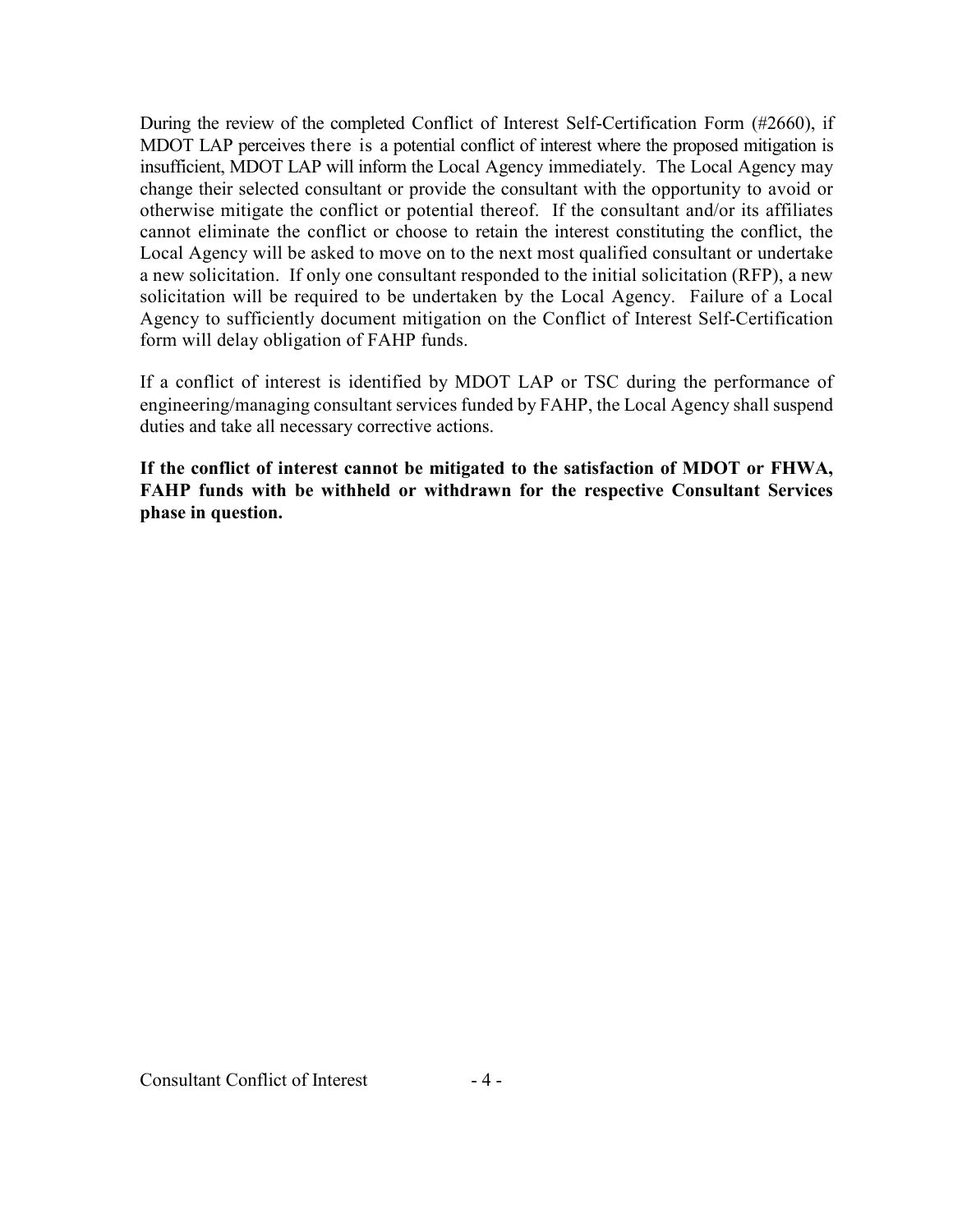During the review of the completed Conflict of Interest Self-Certification Form (#2660), if MDOT LAP perceives there is a potential conflict of interest where the proposed mitigation is insufficient, MDOT LAP will inform the Local Agency immediately. The Local Agency may change their selected consultant or provide the consultant with the opportunity to avoid or otherwise mitigate the conflict or potential thereof. If the consultant and/or its affiliates cannot eliminate the conflict or choose to retain the interest constituting the conflict, the Local Agency will be asked to move on to the next most qualified consultant or undertake a new solicitation. If only one consultant responded to the initial solicitation (RFP), a new solicitation will be required to be undertaken by the Local Agency. Failure of a Local Agency to sufficiently document mitigation on the Conflict of Interest Self-Certification form will delay obligation of FAHP funds.

If a conflict of interest is identified by MDOT LAP or TSC during the performance of engineering/managing consultant services funded by FAHP, the Local Agency shall suspend duties and take all necessary corrective actions.

**If the conflict of interest cannot be mitigated to the satisfaction of MDOT or FHWA, FAHP funds with be withheld or withdrawn for the respective Consultant Services phase in question.**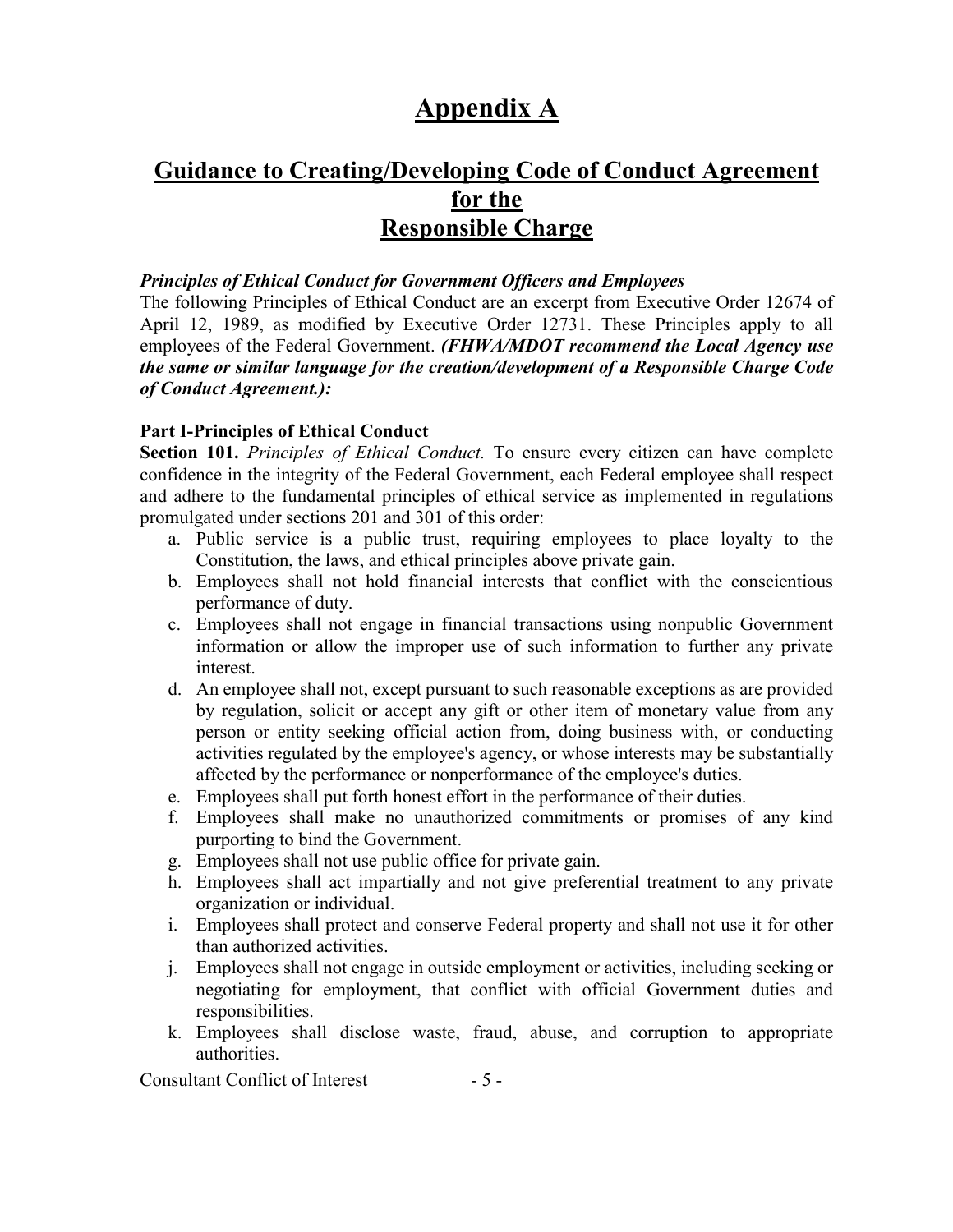# **Appendix A**

# **Guidance to Creating/Developing Code of Conduct Agreement for the Responsible Charge**

#### *Principles of Ethical Conduct for Government Officers and Employees*

The following Principles of Ethical Conduct are an excerpt from Executive Order 12674 of April 12, 1989, as modified by Executive Order 12731. These Principles apply to all employees of the Federal Government. *(FHWA/MDOT recommend the Local Agency use the same or similar language for the creation/development of a Responsible Charge Code of Conduct Agreement.):*

#### **Part I-Principles of Ethical Conduct**

**Section 101.** *Principles of Ethical Conduct.* To ensure every citizen can have complete confidence in the integrity of the Federal Government, each Federal employee shall respect and adhere to the fundamental principles of ethical service as implemented in regulations promulgated under sections 201 and 301 of this order:

- a. Public service is a public trust, requiring employees to place loyalty to the Constitution, the laws, and ethical principles above private gain.
- b. Employees shall not hold financial interests that conflict with the conscientious performance of duty.
- c. Employees shall not engage in financial transactions using nonpublic Government information or allow the improper use of such information to further any private interest.
- d. An employee shall not, except pursuant to such reasonable exceptions as are provided by regulation, solicit or accept any gift or other item of monetary value from any person or entity seeking official action from, doing business with, or conducting activities regulated by the employee's agency, or whose interests may be substantially affected by the performance or nonperformance of the employee's duties.
- e. Employees shall put forth honest effort in the performance of their duties.
- f. Employees shall make no unauthorized commitments or promises of any kind purporting to bind the Government.
- g. Employees shall not use public office for private gain.
- h. Employees shall act impartially and not give preferential treatment to any private organization or individual.
- i. Employees shall protect and conserve Federal property and shall not use it for other than authorized activities.
- j. Employees shall not engage in outside employment or activities, including seeking or negotiating for employment, that conflict with official Government duties and responsibilities.
- k. Employees shall disclose waste, fraud, abuse, and corruption to appropriate authorities.

Consultant Conflict of Interest - 5 -